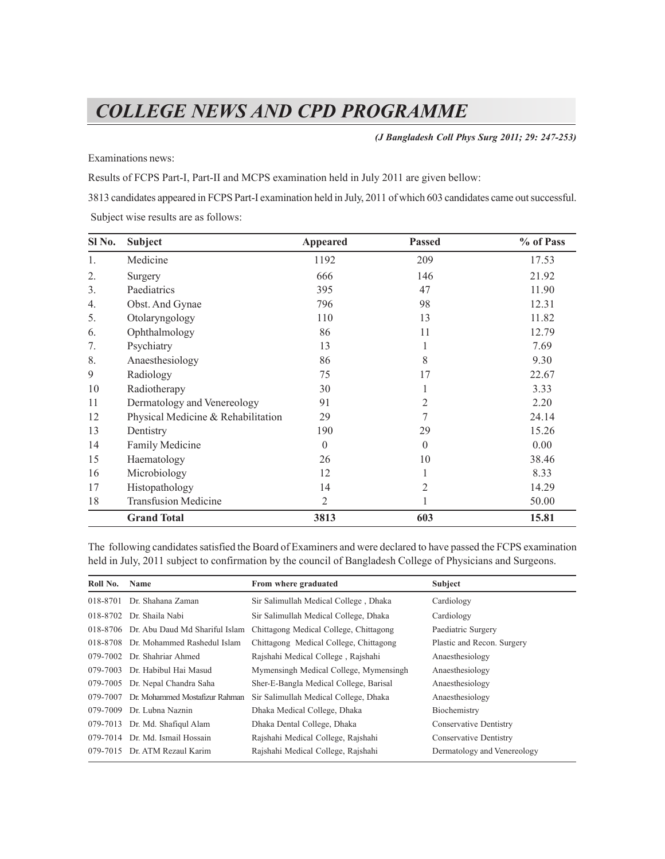# *COLLEGE NEWS AND CPD PROGRAMME*

*(J Bangladesh Coll Phys Surg 2011; 29: 247-253)*

Examinations news:

Results of FCPS Part-I, Part-II and MCPS examination held in July 2011 are given bellow:

3813 candidates appeared in FCPS Part-I examination held in July, 2011 of which 603 candidates came out successful. Subject wise results are as follows:

| Sl No.           | <b>Subject</b>                     | <b>Appeared</b> | <b>Passed</b> | % of Pass |
|------------------|------------------------------------|-----------------|---------------|-----------|
| 1.               | Medicine                           | 1192            | 209           | 17.53     |
| 2.               | Surgery                            | 666             | 146           | 21.92     |
| 3.               | Paediatrics                        | 395             | 47            | 11.90     |
| $\overline{4}$ . | Obst. And Gynae                    | 796             | 98            | 12.31     |
| 5.               | Otolaryngology                     | 110             | 13            | 11.82     |
| 6.               | Ophthalmology                      | 86              | 11            | 12.79     |
| 7.               | Psychiatry                         | 13              |               | 7.69      |
| 8.               | Anaesthesiology                    | 86              | 8             | 9.30      |
| 9                | Radiology                          | 75              | 17            | 22.67     |
| 10               | Radiotherapy                       | 30              |               | 3.33      |
| 11               | Dermatology and Venereology        | 91              | 2             | 2.20      |
| 12               | Physical Medicine & Rehabilitation | 29              | 7             | 24.14     |
| 13               | Dentistry                          | 190             | 29            | 15.26     |
| 14               | Family Medicine                    | $\theta$        | $\theta$      | 0.00      |
| 15               | Haematology                        | 26              | 10            | 38.46     |
| 16               | Microbiology                       | 12              |               | 8.33      |
| 17               | Histopathology                     | 14              | 2             | 14.29     |
| 18               | <b>Transfusion Medicine</b>        | 2               |               | 50.00     |
|                  | <b>Grand Total</b>                 | 3813            | 603           | 15.81     |

The following candidates satisfied the Board of Examiners and were declared to have passed the FCPS examination held in July, 2011 subject to confirmation by the council of Bangladesh College of Physicians and Surgeons.

| Roll No. | <b>Name</b>                             | From where graduated                   | Subject                     |
|----------|-----------------------------------------|----------------------------------------|-----------------------------|
|          | 018-8701 Dr. Shahana Zaman              | Sir Salimullah Medical College, Dhaka  | Cardiology                  |
|          | 018-8702 Dr. Shaila Nabi                | Sir Salimullah Medical College, Dhaka  | Cardiology                  |
|          | 018-8706 Dr. Abu Daud Md Shariful Islam | Chittagong Medical College, Chittagong | Paediatric Surgery          |
|          | 018-8708 Dr. Mohammed Rashedul Islam    | Chittagong Medical College, Chittagong | Plastic and Recon. Surgery  |
|          | 079-7002 Dr. Shahriar Ahmed             | Rajshahi Medical College, Rajshahi     | Anaesthesiology             |
|          | 079-7003 Dr. Habibul Hai Masud          | Mymensingh Medical College, Mymensingh | Anaesthesiology             |
|          | 079-7005 Dr. Nepal Chandra Saha         | Sher-E-Bangla Medical College, Barisal | Anaesthesiology             |
| 079-7007 | Dr. Mohammed Mostafizur Rahman          | Sir Salimullah Medical College, Dhaka  | Anaesthesiology             |
| 079-7009 | Dr. Lubna Naznin                        | Dhaka Medical College, Dhaka           | Biochemistry                |
|          | 079-7013 Dr. Md. Shafiqul Alam          | Dhaka Dental College, Dhaka            | Conservative Dentistry      |
|          | 079-7014 Dr. Md. Ismail Hossain         | Rajshahi Medical College, Rajshahi     | Conservative Dentistry      |
|          | 079-7015 Dr. ATM Rezaul Karim           | Rajshahi Medical College, Rajshahi     | Dermatology and Venereology |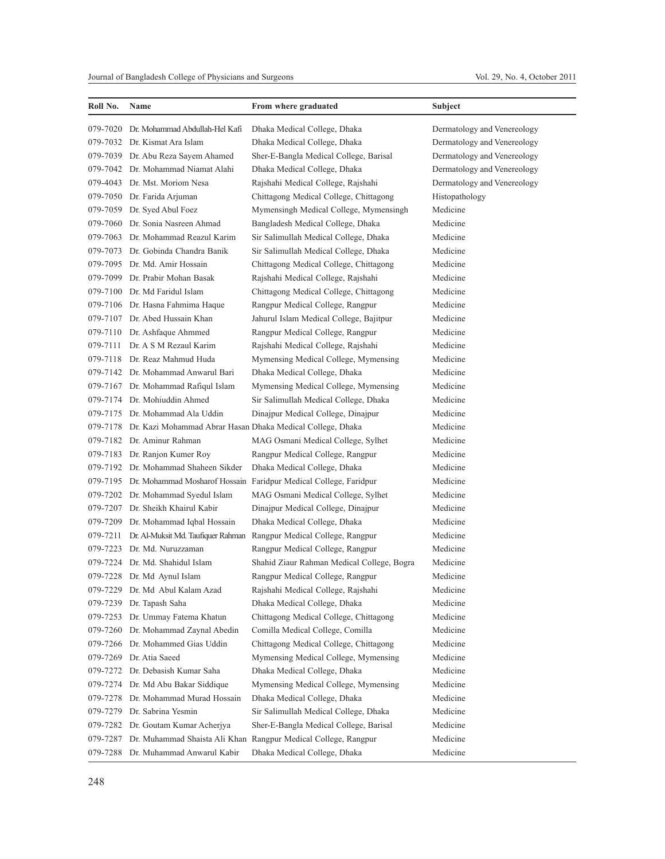| Roll No. | Name                                                                | From where graduated                                                      | Subject                     |
|----------|---------------------------------------------------------------------|---------------------------------------------------------------------------|-----------------------------|
| 079-7020 | Dr. Mohammad Abdullah-Hel Kafi                                      | Dhaka Medical College, Dhaka                                              | Dermatology and Venereology |
|          | 079-7032 Dr. Kismat Ara Islam                                       | Dhaka Medical College, Dhaka                                              | Dermatology and Venereology |
|          | 079-7039 Dr. Abu Reza Sayem Ahamed                                  | Sher-E-Bangla Medical College, Barisal                                    | Dermatology and Venereology |
|          | 079-7042 Dr. Mohammad Niamat Alahi                                  | Dhaka Medical College, Dhaka                                              | Dermatology and Venereology |
|          | 079-4043 Dr. Mst. Moriom Nesa                                       | Rajshahi Medical College, Rajshahi                                        | Dermatology and Venereology |
|          | 079-7050 Dr. Farida Arjuman                                         | Chittagong Medical College, Chittagong                                    | Histopathology              |
|          | 079-7059 Dr. Syed Abul Foez                                         | Mymensingh Medical College, Mymensingh                                    | Medicine                    |
|          | 079-7060 Dr. Sonia Nasreen Ahmad                                    | Bangladesh Medical College, Dhaka                                         | Medicine                    |
|          | 079-7063 Dr. Mohammad Reazul Karim                                  | Sir Salimullah Medical College, Dhaka                                     | Medicine                    |
|          | 079-7073 Dr. Gobinda Chandra Banik                                  | Sir Salimullah Medical College, Dhaka                                     | Medicine                    |
|          | 079-7095 Dr. Md. Amir Hossain                                       | Chittagong Medical College, Chittagong                                    | Medicine                    |
|          | 079-7099 Dr. Prabir Mohan Basak                                     | Rajshahi Medical College, Rajshahi                                        | Medicine                    |
|          | 079-7100 Dr. Md Faridul Islam                                       | Chittagong Medical College, Chittagong                                    | Medicine                    |
|          | 079-7106 Dr. Hasna Fahmima Haque                                    | Rangpur Medical College, Rangpur                                          | Medicine                    |
|          | 079-7107 Dr. Abed Hussain Khan                                      | Jahurul Islam Medical College, Bajitpur                                   | Medicine                    |
|          | 079-7110 Dr. Ashfaque Ahmmed                                        | Rangpur Medical College, Rangpur                                          | Medicine                    |
|          | 079-7111 Dr. A S M Rezaul Karim                                     | Rajshahi Medical College, Rajshahi                                        | Medicine                    |
|          | 079-7118 Dr. Reaz Mahmud Huda                                       | Mymensing Medical College, Mymensing                                      | Medicine                    |
|          | 079-7142 Dr. Mohammad Anwarul Bari                                  | Dhaka Medical College, Dhaka                                              | Medicine                    |
|          | 079-7167 Dr. Mohammad Rafiqul Islam                                 | Mymensing Medical College, Mymensing                                      | Medicine                    |
|          | 079-7174 Dr. Mohiuddin Ahmed                                        | Sir Salimullah Medical College, Dhaka                                     | Medicine                    |
|          | 079-7175 Dr. Mohammad Ala Uddin                                     | Dinajpur Medical College, Dinajpur                                        | Medicine                    |
|          | 079-7178 Dr. Kazi Mohammad Abrar Hasan Dhaka Medical College, Dhaka |                                                                           | Medicine                    |
|          | 079-7182 Dr. Aminur Rahman                                          | MAG Osmani Medical College, Sylhet                                        | Medicine                    |
|          | 079-7183 Dr. Ranjon Kumer Roy                                       | Rangpur Medical College, Rangpur                                          | Medicine                    |
|          | 079-7192 Dr. Mohammad Shaheen Sikder                                | Dhaka Medical College, Dhaka                                              | Medicine                    |
|          |                                                                     | 079-7195 Dr. Mohammad Mosharof Hossain Faridpur Medical College, Faridpur | Medicine                    |
|          | 079-7202 Dr. Mohammad Syedul Islam                                  | MAG Osmani Medical College, Sylhet                                        | Medicine                    |
|          | 079-7207 Dr. Sheikh Khairul Kabir                                   | Dinajpur Medical College, Dinajpur                                        | Medicine                    |
|          | 079-7209 Dr. Mohammad Iqbal Hossain                                 | Dhaka Medical College, Dhaka                                              | Medicine                    |
| 079-7211 |                                                                     | Dr. Al-Muksit Md. Taufiquer Rahman Rangpur Medical College, Rangpur       | Medicine                    |
|          | 079-7223 Dr. Md. Nuruzzaman                                         | Rangpur Medical College, Rangpur                                          | Medicine                    |
|          | 079-7224 Dr. Md. Shahidul Islam                                     | Shahid Ziaur Rahman Medical College, Bogra                                | Medicine                    |
|          | 079-7228 Dr. Md Aynul Islam                                         | Rangpur Medical College, Rangpur                                          | Medicine                    |
|          | 079-7229 Dr. Md Abul Kalam Azad                                     | Rajshahi Medical College, Rajshahi                                        | Medicine                    |
| 079-7239 | Dr. Tapash Saha                                                     | Dhaka Medical College, Dhaka                                              | Medicine                    |
| 079-7253 | Dr. Ummay Fatema Khatun                                             | Chittagong Medical College, Chittagong                                    | Medicine                    |
| 079-7260 | Dr. Mohammad Zaynal Abedin                                          | Comilla Medical College, Comilla                                          | Medicine                    |
| 079-7266 | Dr. Mohammed Gias Uddin                                             | Chittagong Medical College, Chittagong                                    | Medicine                    |
| 079-7269 | Dr. Atia Saeed                                                      | Mymensing Medical College, Mymensing                                      | Medicine                    |
| 079-7272 | Dr. Debasish Kumar Saha                                             | Dhaka Medical College, Dhaka                                              | Medicine                    |
| 079-7274 | Dr. Md Abu Bakar Siddique                                           | Mymensing Medical College, Mymensing                                      | Medicine                    |
| 079-7278 | Dr. Mohammad Murad Hossain                                          | Dhaka Medical College, Dhaka                                              | Medicine                    |
| 079-7279 | Dr. Sabrina Yesmin                                                  | Sir Salimullah Medical College, Dhaka                                     | Medicine                    |
| 079-7282 | Dr. Goutam Kumar Acherjya                                           | Sher-E-Bangla Medical College, Barisal                                    | Medicine                    |
|          |                                                                     | 079-7287 Dr. Muhammad Shaista Ali Khan Rangpur Medical College, Rangpur   | Medicine                    |
|          | 079-7288 Dr. Muhammad Anwarul Kabir                                 | Dhaka Medical College, Dhaka                                              | Medicine                    |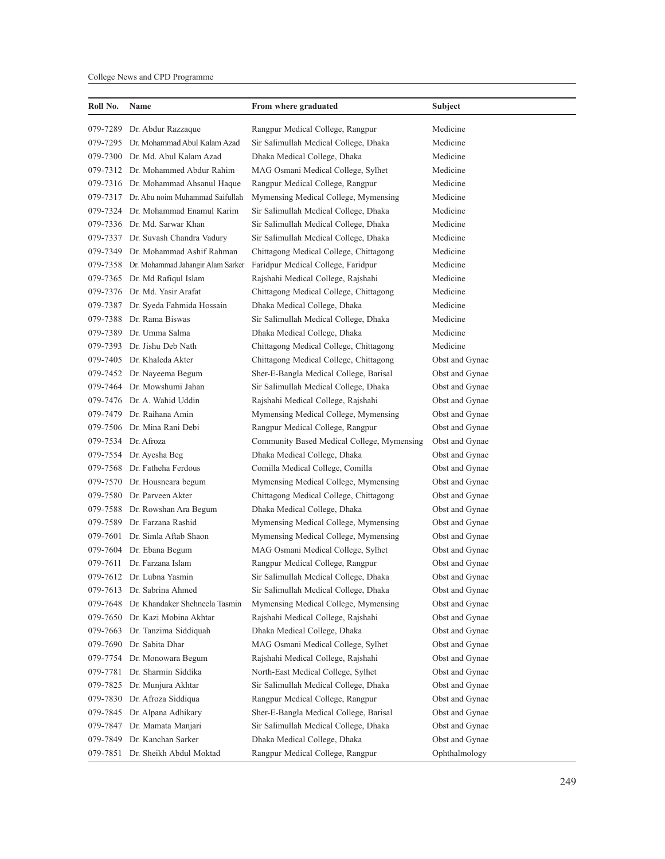#### College News and CPD Programme

| Roll No. | Name<br>From where graduated                                                   |                                            | Subject        |
|----------|--------------------------------------------------------------------------------|--------------------------------------------|----------------|
| 079-7289 | Dr. Abdur Razzaque                                                             | Rangpur Medical College, Rangpur           | Medicine       |
|          | 079-7295 Dr. Mohammad Abul Kalam Azad<br>Sir Salimullah Medical College, Dhaka |                                            | Medicine       |
|          | 079-7300 Dr. Md. Abul Kalam Azad                                               | Dhaka Medical College, Dhaka               | Medicine       |
|          | 079-7312 Dr. Mohammed Abdur Rahim                                              | MAG Osmani Medical College, Sylhet         | Medicine       |
|          | 079-7316 Dr. Mohammad Ahsanul Haque                                            | Rangpur Medical College, Rangpur           | Medicine       |
|          | 079-7317 Dr. Abu noim Muhammad Saifullah                                       | Mymensing Medical College, Mymensing       | Medicine       |
|          | 079-7324 Dr. Mohammad Enamul Karim                                             | Sir Salimullah Medical College, Dhaka      | Medicine       |
|          | 079-7336 Dr. Md. Sarwar Khan                                                   | Sir Salimullah Medical College, Dhaka      | Medicine       |
|          | 079-7337 Dr. Suvash Chandra Vadury                                             | Sir Salimullah Medical College, Dhaka      | Medicine       |
|          | 079-7349 Dr. Mohammad Ashif Rahman                                             | Chittagong Medical College, Chittagong     | Medicine       |
|          | 079-7358 Dr. Mohammad Jahangir Alam Sarker                                     | Faridpur Medical College, Faridpur         | Medicine       |
|          | 079-7365 Dr. Md Rafiqul Islam                                                  | Rajshahi Medical College, Rajshahi         | Medicine       |
|          | 079-7376 Dr. Md. Yasir Arafat                                                  | Chittagong Medical College, Chittagong     | Medicine       |
|          | 079-7387 Dr. Syeda Fahmida Hossain                                             | Dhaka Medical College, Dhaka               | Medicine       |
|          | 079-7388 Dr. Rama Biswas                                                       | Sir Salimullah Medical College, Dhaka      | Medicine       |
|          | 079-7389 Dr. Umma Salma                                                        | Dhaka Medical College, Dhaka               | Medicine       |
|          | 079-7393 Dr. Jishu Deb Nath                                                    | Chittagong Medical College, Chittagong     | Medicine       |
|          | 079-7405 Dr. Khaleda Akter                                                     | Chittagong Medical College, Chittagong     | Obst and Gynae |
|          | 079-7452 Dr. Nayeema Begum                                                     | Sher-E-Bangla Medical College, Barisal     | Obst and Gynae |
|          | 079-7464 Dr. Mowshumi Jahan                                                    | Sir Salimullah Medical College, Dhaka      | Obst and Gynae |
|          | 079-7476 Dr. A. Wahid Uddin                                                    | Rajshahi Medical College, Rajshahi         | Obst and Gynae |
|          | 079-7479 Dr. Raihana Amin                                                      | Mymensing Medical College, Mymensing       | Obst and Gynae |
|          | 079-7506 Dr. Mina Rani Debi                                                    | Rangpur Medical College, Rangpur           | Obst and Gynae |
|          | 079-7534 Dr. Afroza                                                            | Community Based Medical College, Mymensing | Obst and Gynae |
|          | 079-7554 Dr. Ayesha Beg                                                        | Dhaka Medical College, Dhaka               | Obst and Gynae |
|          | 079-7568 Dr. Fatheha Ferdous                                                   | Comilla Medical College, Comilla           | Obst and Gynae |
|          | 079-7570 Dr. Housneara begum                                                   | Mymensing Medical College, Mymensing       | Obst and Gynae |
|          | 079-7580 Dr. Parveen Akter                                                     | Chittagong Medical College, Chittagong     | Obst and Gynae |
|          | 079-7588 Dr. Rowshan Ara Begum                                                 | Dhaka Medical College, Dhaka               | Obst and Gynae |
|          | 079-7589 Dr. Farzana Rashid                                                    | Mymensing Medical College, Mymensing       | Obst and Gynae |
|          | 079-7601 Dr. Simla Aftab Shaon                                                 | Mymensing Medical College, Mymensing       | Obst and Gynae |
|          | 079-7604 Dr. Ebana Begum                                                       | MAG Osmani Medical College, Sylhet         | Obst and Gynae |
| 079-7611 | Dr. Farzana Islam                                                              | Rangpur Medical College, Rangpur           | Obst and Gynae |
|          | 079-7612 Dr. Lubna Yasmin                                                      | Sir Salimullah Medical College, Dhaka      | Obst and Gynae |
|          | 079-7613 Dr. Sabrina Ahmed                                                     | Sir Salimullah Medical College, Dhaka      | Obst and Gynae |
| 079-7648 | Dr. Khandaker Shehneela Tasmin                                                 | Mymensing Medical College, Mymensing       | Obst and Gynae |
| 079-7650 | Dr. Kazi Mobina Akhtar                                                         | Rajshahi Medical College, Rajshahi         | Obst and Gynae |
| 079-7663 | Dr. Tanzima Siddiquah                                                          | Dhaka Medical College, Dhaka               | Obst and Gynae |
| 079-7690 | Dr. Sabita Dhar                                                                | MAG Osmani Medical College, Sylhet         | Obst and Gynae |
| 079-7754 | Dr. Monowara Begum                                                             | Rajshahi Medical College, Rajshahi         | Obst and Gynae |
| 079-7781 | Dr. Sharmin Siddika                                                            | North-East Medical College, Sylhet         | Obst and Gynae |
| 079-7825 | Dr. Munjura Akhtar                                                             | Sir Salimullah Medical College, Dhaka      | Obst and Gynae |
|          | 079-7830 Dr. Afroza Siddiqua                                                   | Rangpur Medical College, Rangpur           | Obst and Gynae |
|          | 079-7845 Dr. Alpana Adhikary                                                   | Sher-E-Bangla Medical College, Barisal     | Obst and Gynae |
| 079-7847 | Dr. Mamata Manjari                                                             | Sir Salimullah Medical College, Dhaka      | Obst and Gynae |
| 079-7849 | Dr. Kanchan Sarker                                                             | Dhaka Medical College, Dhaka               | Obst and Gynae |
| 079-7851 | Dr. Sheikh Abdul Moktad                                                        | Rangpur Medical College, Rangpur           | Ophthalmology  |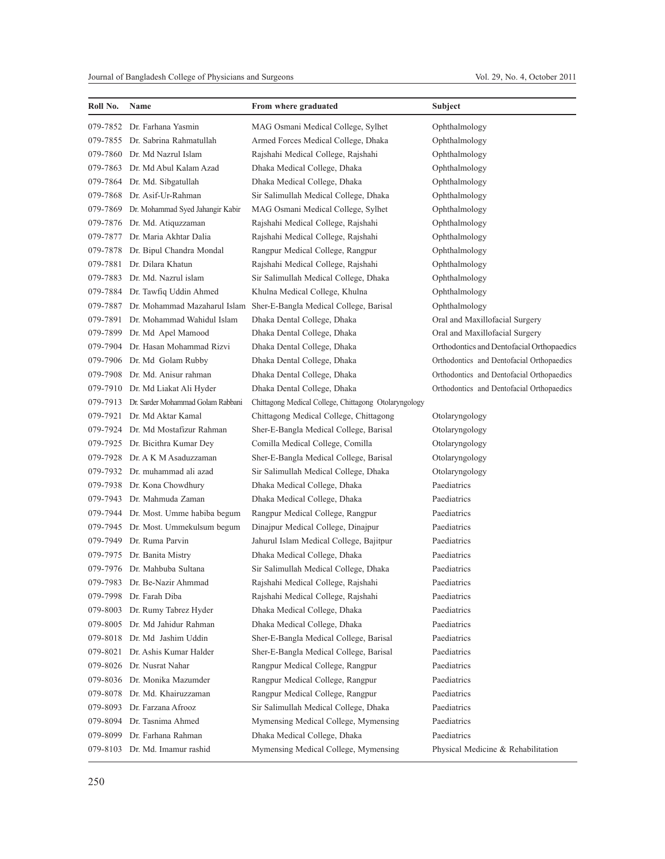| Roll No. | Name                                       | From where graduated                                  | Subject                                   |
|----------|--------------------------------------------|-------------------------------------------------------|-------------------------------------------|
|          | 079-7852 Dr. Farhana Yasmin                | MAG Osmani Medical College, Sylhet                    | Ophthalmology                             |
|          | 079-7855 Dr. Sabrina Rahmatullah           | Armed Forces Medical College, Dhaka                   | Ophthalmology                             |
|          | 079-7860 Dr. Md Nazrul Islam               | Rajshahi Medical College, Rajshahi                    | Ophthalmology                             |
| 079-7863 | Dr. Md Abul Kalam Azad                     | Dhaka Medical College, Dhaka                          | Ophthalmology                             |
|          | 079-7864 Dr. Md. Sibgatullah               | Dhaka Medical College, Dhaka                          | Ophthalmology                             |
|          | 079-7868 Dr. Asif-Ur-Rahman                | Sir Salimullah Medical College, Dhaka                 | Ophthalmology                             |
|          | 079-7869 Dr. Mohammad Syed Jahangir Kabir  | MAG Osmani Medical College, Sylhet                    | Ophthalmology                             |
|          | 079-7876 Dr. Md. Atiquzzaman               | Rajshahi Medical College, Rajshahi                    | Ophthalmology                             |
|          | 079-7877 Dr. Maria Akhtar Dalia            | Rajshahi Medical College, Rajshahi                    | Ophthalmology                             |
|          | 079-7878 Dr. Bipul Chandra Mondal          | Rangpur Medical College, Rangpur                      | Ophthalmology                             |
| 079-7881 | Dr. Dilara Khatun                          | Rajshahi Medical College, Rajshahi                    | Ophthalmology                             |
|          | 079-7883 Dr. Md. Nazrul islam              | Sir Salimullah Medical College, Dhaka                 | Ophthalmology                             |
|          | 079-7884 Dr. Tawfiq Uddin Ahmed            | Khulna Medical College, Khulna                        | Ophthalmology                             |
|          | 079-7887 Dr. Mohammad Mazaharul Islam      | Sher-E-Bangla Medical College, Barisal                | Ophthalmology                             |
|          | 079-7891 Dr. Mohammad Wahidul Islam        | Dhaka Dental College, Dhaka                           | Oral and Maxillofacial Surgery            |
|          | 079-7899 Dr. Md Apel Mamood                | Dhaka Dental College, Dhaka                           | Oral and Maxillofacial Surgery            |
| 079-7904 | Dr. Hasan Mohammad Rizvi                   | Dhaka Dental College, Dhaka                           | Orthodontics and Dentofacial Orthopaedics |
|          | 079-7906 Dr. Md Golam Rubby                | Dhaka Dental College, Dhaka                           | Orthodontics and Dentofacial Orthopaedics |
|          | 079-7908 Dr. Md. Anisur rahman             | Dhaka Dental College, Dhaka                           | Orthodontics and Dentofacial Orthopaedics |
|          | 079-7910 Dr. Md Liakat Ali Hyder           | Dhaka Dental College, Dhaka                           | Orthodontics and Dentofacial Orthopaedics |
|          | 079-7913 Dr. Sarder Mohammad Golam Rabbani | Chittagong Medical College, Chittagong Otolaryngology |                                           |
|          | 079-7921 Dr. Md Aktar Kamal                | Chittagong Medical College, Chittagong                | Otolaryngology                            |
|          | 079-7924 Dr. Md Mostafizur Rahman          | Sher-E-Bangla Medical College, Barisal                | Otolaryngology                            |
|          | 079-7925 Dr. Bicithra Kumar Dey            | Comilla Medical College, Comilla                      | Otolaryngology                            |
|          | 079-7928 Dr. A K M Asaduzzaman             | Sher-E-Bangla Medical College, Barisal                | Otolaryngology                            |
|          | 079-7932 Dr. muhammad ali azad             | Sir Salimullah Medical College, Dhaka                 | Otolaryngology                            |
|          | 079-7938 Dr. Kona Chowdhury                | Dhaka Medical College, Dhaka                          | Paediatrics                               |
|          | 079-7943 Dr. Mahmuda Zaman                 | Dhaka Medical College, Dhaka                          | Paediatrics                               |
|          | 079-7944 Dr. Most. Umme habiba begum       | Rangpur Medical College, Rangpur                      | Paediatrics                               |
|          | 079-7945 Dr. Most. Ummekulsum begum        | Dinajpur Medical College, Dinajpur                    | Paediatrics                               |
|          | 079-7949 Dr. Ruma Parvin                   | Jahurul Islam Medical College, Bajitpur               | Paediatrics                               |
|          | 079-7975 Dr. Banita Mistry                 | Dhaka Medical College, Dhaka                          | Paediatrics                               |
|          | 079-7976 Dr. Mahbuba Sultana               | Sir Salimullah Medical College, Dhaka                 | Paediatrics                               |
|          | 079-7983 Dr. Be-Nazir Ahmmad               | Rajshahi Medical College, Rajshahi                    | Paediatrics                               |
|          | 079-7998 Dr. Farah Diba                    | Rajshahi Medical College, Rajshahi                    | Paediatrics                               |
| 079-8003 | Dr. Rumy Tabrez Hyder                      | Dhaka Medical College, Dhaka                          | Paediatrics                               |
|          | 079-8005 Dr. Md Jahidur Rahman             | Dhaka Medical College, Dhaka                          | Paediatrics                               |
|          | 079-8018 Dr. Md Jashim Uddin               | Sher-E-Bangla Medical College, Barisal                | Paediatrics                               |
| 079-8021 | Dr. Ashis Kumar Halder                     | Sher-E-Bangla Medical College, Barisal                | Paediatrics                               |
| 079-8026 | Dr. Nusrat Nahar                           | Rangpur Medical College, Rangpur                      | Paediatrics                               |
| 079-8036 | Dr. Monika Mazumder                        | Rangpur Medical College, Rangpur                      | Paediatrics                               |
|          | 079-8078 Dr. Md. Khairuzzaman              | Rangpur Medical College, Rangpur                      | Paediatrics                               |
|          | 079-8093 Dr. Farzana Afrooz                | Sir Salimullah Medical College, Dhaka                 | Paediatrics                               |
|          | 079-8094 Dr. Tasnima Ahmed                 | Mymensing Medical College, Mymensing                  | Paediatrics                               |
| 079-8099 | Dr. Farhana Rahman                         | Dhaka Medical College, Dhaka                          | Paediatrics                               |
|          | 079-8103 Dr. Md. Imamur rashid             | Mymensing Medical College, Mymensing                  | Physical Medicine & Rehabilitation        |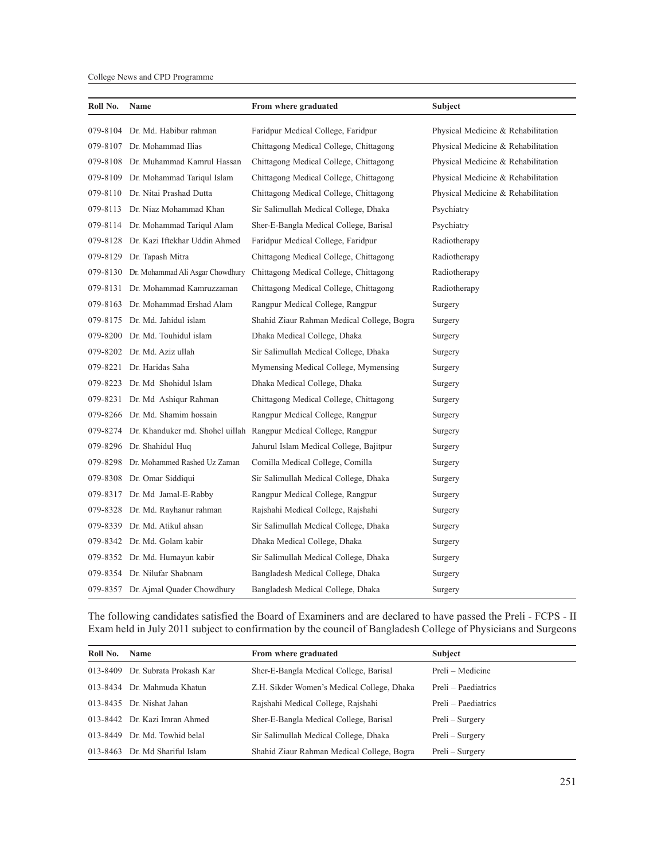#### College News and CPD Programme

| Roll No. | Name                                      | From where graduated                                             | Subject                            |
|----------|-------------------------------------------|------------------------------------------------------------------|------------------------------------|
| 079-8104 | Dr. Md. Habibur rahman                    | Faridpur Medical College, Faridpur                               | Physical Medicine & Rehabilitation |
| 079-8107 | Dr. Mohammad Ilias                        | Chittagong Medical College, Chittagong                           | Physical Medicine & Rehabilitation |
|          | 079-8108 Dr. Muhammad Kamrul Hassan       | Chittagong Medical College, Chittagong                           | Physical Medicine & Rehabilitation |
|          | 079-8109 Dr. Mohammad Tariqul Islam       | Chittagong Medical College, Chittagong                           | Physical Medicine & Rehabilitation |
| 079-8110 | Dr. Nitai Prashad Dutta                   | Chittagong Medical College, Chittagong                           | Physical Medicine & Rehabilitation |
| 079-8113 | Dr. Niaz Mohammad Khan                    | Sir Salimullah Medical College, Dhaka                            | Psychiatry                         |
| 079-8114 | Dr. Mohammad Tariqul Alam                 | Sher-E-Bangla Medical College, Barisal                           | Psychiatry                         |
| 079-8128 | Dr. Kazi Iftekhar Uddin Ahmed             | Faridpur Medical College, Faridpur                               | Radiotherapy                       |
| 079-8129 | Dr. Tapash Mitra                          | Chittagong Medical College, Chittagong                           | Radiotherapy                       |
|          | 079-8130 Dr. Mohammad Ali Asgar Chowdhury | Chittagong Medical College, Chittagong                           | Radiotherapy                       |
| 079-8131 | Dr. Mohammad Kamruzzaman                  | Chittagong Medical College, Chittagong                           | Radiotherapy                       |
|          | 079-8163 Dr. Mohammad Ershad Alam         | Rangpur Medical College, Rangpur                                 | Surgery                            |
|          | 079-8175 Dr. Md. Jahidul islam            | Shahid Ziaur Rahman Medical College, Bogra                       | Surgery                            |
|          | 079-8200 Dr. Md. Touhidul islam           | Dhaka Medical College, Dhaka                                     | Surgery                            |
|          | 079-8202 Dr. Md. Aziz ullah               | Sir Salimullah Medical College, Dhaka                            | Surgery                            |
| 079-8221 | Dr. Haridas Saha                          | Mymensing Medical College, Mymensing                             | Surgery                            |
| 079-8223 | Dr. Md Shohidul Islam                     | Dhaka Medical College, Dhaka                                     | Surgery                            |
| 079-8231 | Dr. Md Ashigur Rahman                     | Chittagong Medical College, Chittagong                           | Surgery                            |
|          | 079-8266 Dr. Md. Shamim hossain           | Rangpur Medical College, Rangpur                                 | Surgery                            |
| 079-8274 |                                           | Dr. Khanduker md. Shohel uillah Rangpur Medical College, Rangpur | Surgery                            |
|          | 079-8296 Dr. Shahidul Huq                 | Jahurul Islam Medical College, Bajitpur                          | Surgery                            |
|          | 079-8298 Dr. Mohammed Rashed Uz Zaman     | Comilla Medical College, Comilla                                 | Surgery                            |
| 079-8308 | Dr. Omar Siddiqui                         | Sir Salimullah Medical College, Dhaka                            | Surgery                            |
|          | 079-8317 Dr. Md Jamal-E-Rabby             | Rangpur Medical College, Rangpur                                 | Surgery                            |
|          | 079-8328 Dr. Md. Rayhanur rahman          | Rajshahi Medical College, Rajshahi                               | Surgery                            |
|          | 079-8339 Dr. Md. Atikul ahsan             | Sir Salimullah Medical College, Dhaka                            | Surgery                            |
|          | 079-8342 Dr. Md. Golam kabir              | Dhaka Medical College, Dhaka                                     | Surgery                            |
|          | 079-8352 Dr. Md. Humayun kabir            | Sir Salimullah Medical College, Dhaka                            | Surgery                            |
| 079-8354 | Dr. Nilufar Shabnam                       | Bangladesh Medical College, Dhaka                                | Surgery                            |
|          | 079-8357 Dr. Ajmal Quader Chowdhury       | Bangladesh Medical College, Dhaka                                | Surgery                            |

The following candidates satisfied the Board of Examiners and are declared to have passed the Preli - FCPS - II Exam held in July 2011 subject to confirmation by the council of Bangladesh College of Physicians and Surgeons

| Roll No. | <b>Name</b>                      | From where graduated                       | <b>Subject</b>      |
|----------|----------------------------------|--------------------------------------------|---------------------|
|          | 013-8409 Dr. Subrata Prokash Kar | Sher-E-Bangla Medical College, Barisal     | Preli – Medicine    |
|          | 013-8434 Dr. Mahmuda Khatun      | Z.H. Sikder Women's Medical College, Dhaka | Preli – Paediatrics |
|          | 013-8435 Dr. Nishat Jahan        | Rajshahi Medical College, Rajshahi         | Preli – Paediatrics |
|          | 013-8442 Dr. Kazi Imran Ahmed    | Sher-E-Bangla Medical College, Barisal     | Preli – Surgery     |
|          | 013-8449 Dr. Md. Towhid belal    | Sir Salimullah Medical College, Dhaka      | Preli – Surgery     |
|          | 013-8463 Dr. Md Shariful Islam   | Shahid Ziaur Rahman Medical College, Bogra | Preli – Surgery     |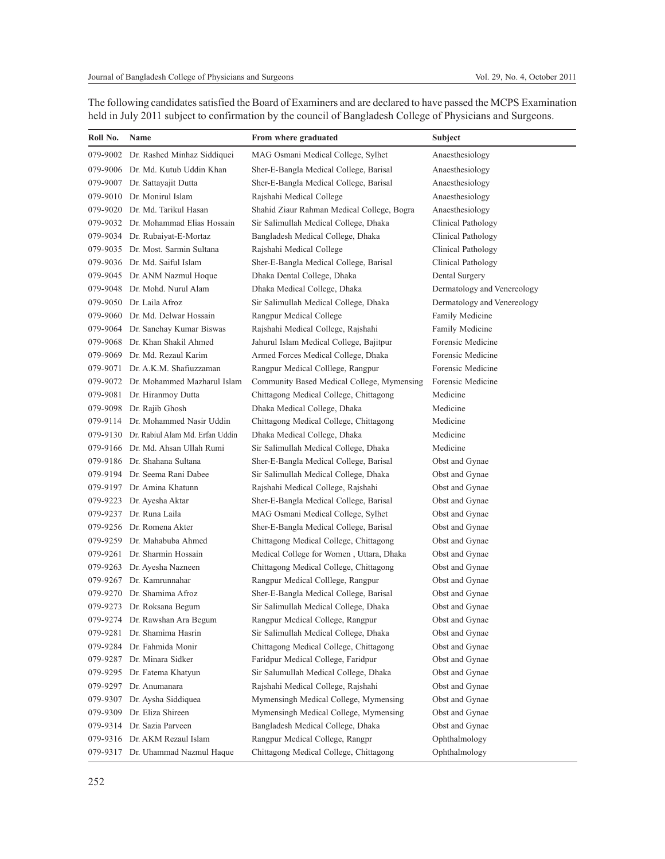| Roll No. | Name<br>From where graduated             |                                            | Subject                     |
|----------|------------------------------------------|--------------------------------------------|-----------------------------|
| 079-9002 | Dr. Rashed Minhaz Siddiquei              | MAG Osmani Medical College, Sylhet         | Anaesthesiology             |
|          | 079-9006 Dr. Md. Kutub Uddin Khan        | Sher-E-Bangla Medical College, Barisal     | Anaesthesiology             |
| 079-9007 | Dr. Sattayajit Dutta                     | Sher-E-Bangla Medical College, Barisal     | Anaesthesiology             |
| 079-9010 | Dr. Monirul Islam                        | Rajshahi Medical College                   | Anaesthesiology             |
| 079-9020 | Dr. Md. Tarikul Hasan                    | Shahid Ziaur Rahman Medical College, Bogra | Anaesthesiology             |
|          | 079-9032 Dr. Mohammad Elias Hossain      | Sir Salimullah Medical College, Dhaka      | Clinical Pathology          |
|          | 079-9034 Dr. Rubaiyat-E-Mortaz           | Bangladesh Medical College, Dhaka          | Clinical Pathology          |
|          | 079-9035 Dr. Most. Sarmin Sultana        | Rajshahi Medical College                   | Clinical Pathology          |
|          | 079-9036 Dr. Md. Saiful Islam            | Sher-E-Bangla Medical College, Barisal     | Clinical Pathology          |
|          | 079-9045 Dr. ANM Nazmul Hoque            | Dhaka Dental College, Dhaka                | Dental Surgery              |
|          | 079-9048 Dr. Mohd. Nurul Alam            | Dhaka Medical College, Dhaka               | Dermatology and Venereology |
| 079-9050 | Dr. Laila Afroz                          | Sir Salimullah Medical College, Dhaka      | Dermatology and Venereology |
| 079-9060 | Dr. Md. Delwar Hossain                   | Rangpur Medical College                    | Family Medicine             |
|          | 079-9064 Dr. Sanchay Kumar Biswas        | Rajshahi Medical College, Rajshahi         | Family Medicine             |
|          | 079-9068 Dr. Khan Shakil Ahmed           | Jahurul Islam Medical College, Bajitpur    | Forensic Medicine           |
|          | 079-9069 Dr. Md. Rezaul Karim            | Armed Forces Medical College, Dhaka        | Forensic Medicine           |
|          | 079-9071 Dr. A.K.M. Shafiuzzaman         | Rangpur Medical Colllege, Rangpur          | Forensic Medicine           |
|          | 079-9072 Dr. Mohammed Mazharul Islam     | Community Based Medical College, Mymensing | Forensic Medicine           |
| 079-9081 | Dr. Hiranmoy Dutta                       | Chittagong Medical College, Chittagong     | Medicine                    |
|          | 079-9098 Dr. Rajib Ghosh                 | Dhaka Medical College, Dhaka               | Medicine                    |
| 079-9114 | Dr. Mohammed Nasir Uddin                 | Chittagong Medical College, Chittagong     | Medicine                    |
|          | 079-9130 Dr. Rabiul Alam Md. Erfan Uddin | Dhaka Medical College, Dhaka               | Medicine                    |
|          | 079-9166 Dr. Md. Ahsan Ullah Rumi        | Sir Salimullah Medical College, Dhaka      | Medicine                    |
|          | 079-9186 Dr. Shahana Sultana             | Sher-E-Bangla Medical College, Barisal     | Obst and Gynae              |
|          | 079-9194 Dr. Seema Rani Dabee            | Sir Salimullah Medical College, Dhaka      | Obst and Gynae              |
|          | 079-9197 Dr. Amina Khatunn               | Rajshahi Medical College, Rajshahi         | Obst and Gynae              |
|          | 079-9223 Dr. Ayesha Aktar                | Sher-E-Bangla Medical College, Barisal     | Obst and Gynae              |
| 079-9237 | Dr. Runa Laila                           | MAG Osmani Medical College, Sylhet         | Obst and Gynae              |
|          | 079-9256 Dr. Romena Akter                | Sher-E-Bangla Medical College, Barisal     | Obst and Gynae              |
|          | 079-9259 Dr. Mahabuba Ahmed              | Chittagong Medical College, Chittagong     | Obst and Gynae              |
| 079-9261 | Dr. Sharmin Hossain                      | Medical College for Women, Uttara, Dhaka   | Obst and Gynae              |
| 079-9263 | Dr. Ayesha Nazneen                       | Chittagong Medical College, Chittagong     | Obst and Gynae              |
| 079-9267 | Dr. Kamrunnahar                          | Rangpur Medical Colllege, Rangpur          | Obst and Gynae              |
| 079-9270 | Dr. Shamima Afroz                        | Sher-E-Bangla Medical College, Barisal     | Obst and Gynae              |
|          | 079-9273 Dr. Roksana Begum               | Sir Salimullah Medical College, Dhaka      | Obst and Gynae              |
| 079-9274 | Dr. Rawshan Ara Begum                    | Rangpur Medical College, Rangpur           | Obst and Gynae              |
| 079-9281 | Dr. Shamima Hasrin                       | Sir Salimullah Medical College, Dhaka      | Obst and Gynae              |
| 079-9284 | Dr. Fahmida Monir                        | Chittagong Medical College, Chittagong     | Obst and Gynae              |
| 079-9287 | Dr. Minara Sidker                        | Faridpur Medical College, Faridpur         | Obst and Gynae              |
| 079-9295 | Dr. Fatema Khatyun                       | Sir Salumullah Medical College, Dhaka      | Obst and Gynae              |
| 079-9297 | Dr. Anumanara                            | Rajshahi Medical College, Rajshahi         | Obst and Gynae              |
| 079-9307 | Dr. Aysha Siddiquea                      | Mymensingh Medical College, Mymensing      | Obst and Gynae              |
| 079-9309 | Dr. Eliza Shireen                        | Mymensingh Medical College, Mymensing      | Obst and Gynae              |
| 079-9314 | Dr. Sazia Parveen                        | Bangladesh Medical College, Dhaka          | Obst and Gynae              |
| 079-9316 | Dr. AKM Rezaul Islam                     | Rangpur Medical College, Rangpr            | Ophthalmology               |
| 079-9317 | Dr. Uhammad Nazmul Haque                 | Chittagong Medical College, Chittagong     | Ophthalmology               |

The following candidates satisfied the Board of Examiners and are declared to have passed the MCPS Examination held in July 2011 subject to confirmation by the council of Bangladesh College of Physicians and Surgeons.